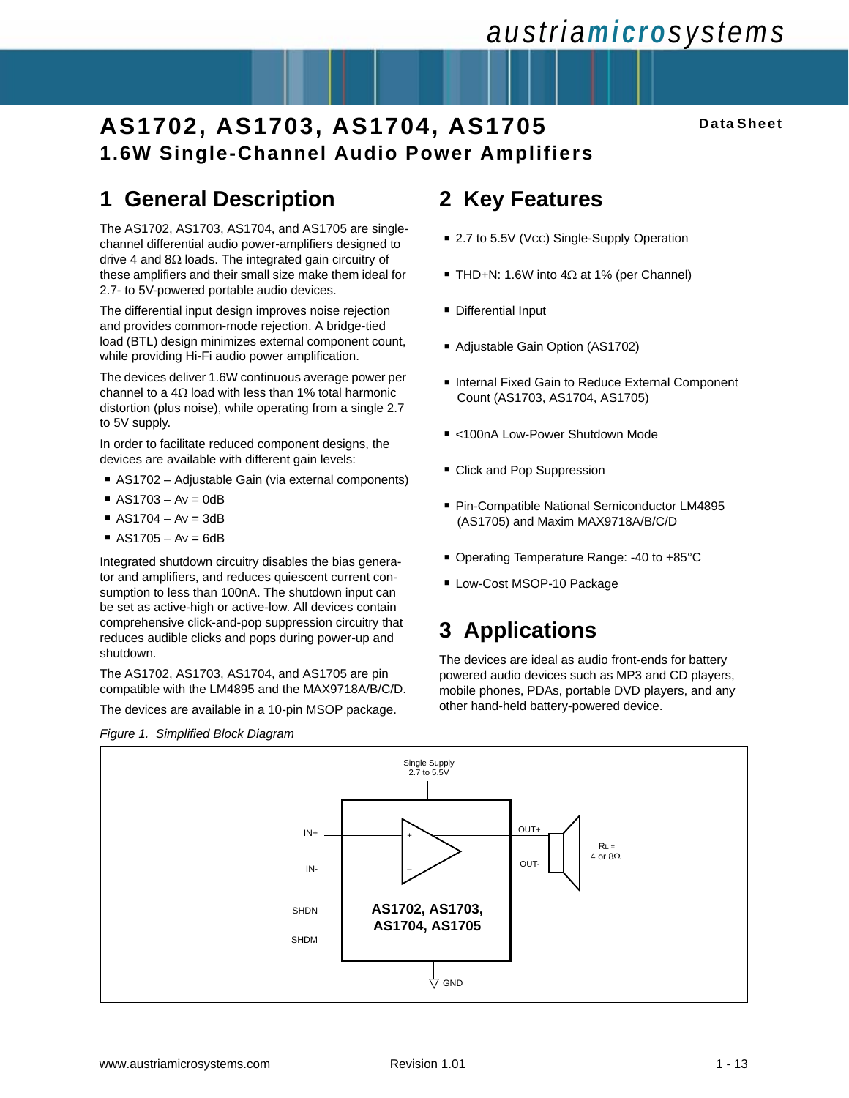# *austriamicrosystems*

## **AS1702, AS1703, AS1704, AS1705 1.6W Single-Channel Audio Power Amplifiers**

#### **Data Sheet**

## **1 General Description**

The AS1702, AS1703, AS1704, and AS1705 are singlechannel differential audio power-amplifiers designed to drive 4 and 8Ω loads. The integrated gain circuitry of these amplifiers and their small size make them ideal for 2.7- to 5V-powered portable audio devices.

The differential input design improves noise rejection and provides common-mode rejection. A bridge-tied load (BTL) design minimizes external component count, while providing Hi-Fi audio power amplification.

The devices deliver 1.6W continuous average power per channel to a  $4\Omega$  load with less than 1% total harmonic distortion (plus noise), while operating from a single 2.7 to 5V supply.

In order to facilitate reduced component designs, the devices are available with different gain levels:

- AS1702 Adjustable Gain (via external components)
- $\blacksquare$  AS1703 Av = 0dB
- $\blacksquare$  AS1704 Av = 3dB
- $\blacksquare$  AS1705 Av = 6dB

Integrated shutdown circuitry disables the bias generator and amplifiers, and reduces quiescent current consumption to less than 100nA. The shutdown input can be set as active-high or active-low. All devices contain comprehensive click-and-pop suppression circuitry that reduces audible clicks and pops during power-up and shutdown.

The AS1702, AS1703, AS1704, and AS1705 are pin compatible with the LM4895 and the MAX9718A/B/C/D.

The devices are available in a 10-pin MSOP package.



## **2 Key Features**

- 2.7 to 5.5V (Vcc) Single-Supply Operation
- THD+N: 1.6W into 4 $Ω$  at 1% (per Channel)
- **Differential Input**
- Adjustable Gain Option (AS1702)
- Internal Fixed Gain to Reduce External Component Count (AS1703, AS1704, AS1705)
- <100nA Low-Power Shutdown Mode
- Click and Pop Suppression
- Pin-Compatible National Semiconductor LM4895 (AS1705) and Maxim MAX9718A/B/C/D
- Operating Temperature Range: -40 to +85°C
- Low-Cost MSOP-10 Package

## **3 Applications**

The devices are ideal as audio front-ends for battery powered audio devices such as MP3 and CD players, mobile phones, PDAs, portable DVD players, and any other hand-held battery-powered device.

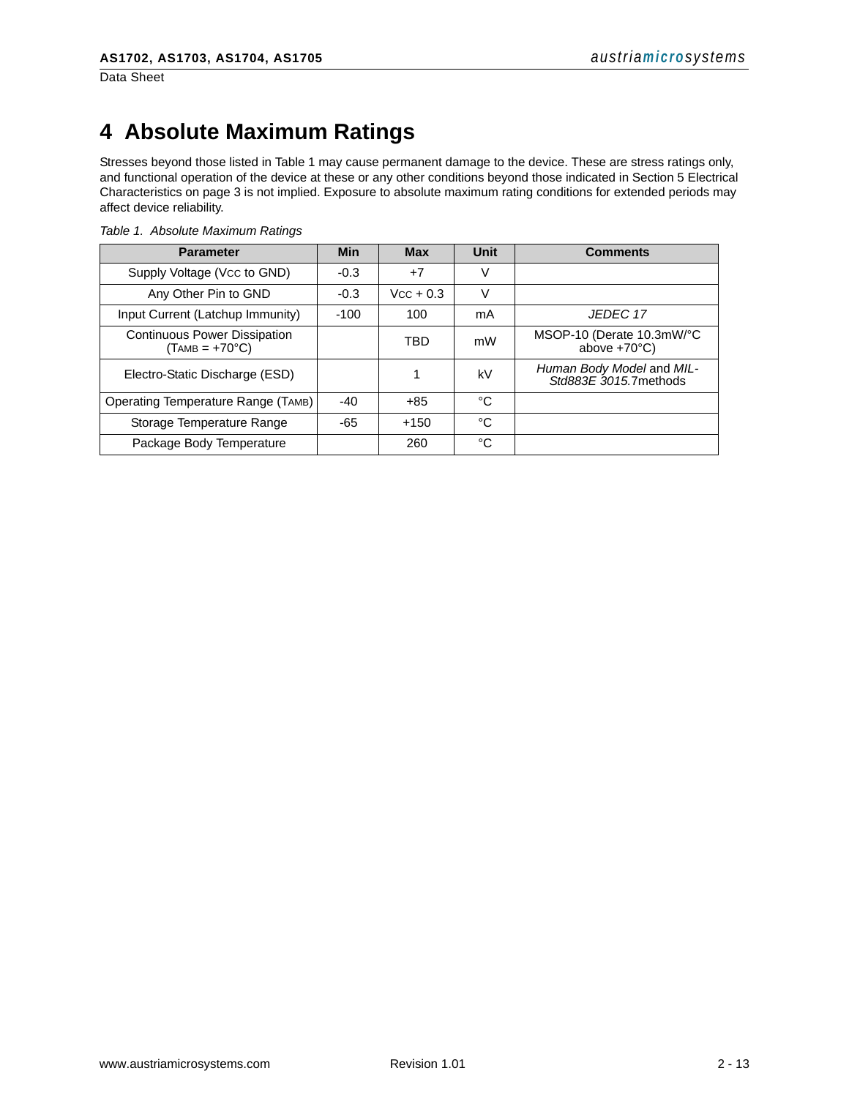Data Sheet

## **4 Absolute Maximum Ratings**

Stresses beyond those listed in Table 1 may cause permanent damage to the device. These are stress ratings only, and functional operation of the device at these or any other conditions beyond those indicated in [Section 5 Electrical](#page-2-0)  [Characteristics on page 3](#page-2-0) is not implied. Exposure to absolute maximum rating conditions for extended periods may affect device reliability.

| <b>Parameter</b>                                        | Min    | <b>Max</b>  | Unit | <b>Comments</b>                                     |
|---------------------------------------------------------|--------|-------------|------|-----------------------------------------------------|
| Supply Voltage (Vcc to GND)                             | $-0.3$ | $+7$        | V    |                                                     |
| Any Other Pin to GND                                    | $-0.3$ | $Vcc + 0.3$ | V    |                                                     |
| Input Current (Latchup Immunity)                        | $-100$ | 100         | mA   | JEDEC 17                                            |
| <b>Continuous Power Dissipation</b><br>$(TAMB = +70°C)$ |        | TBD         | mW   | MSOP-10 (Derate 10.3mW/°C<br>above $+70^{\circ}$ C) |
| Electro-Static Discharge (ESD)                          |        |             | kV   | Human Body Model and MIL-<br>Std883E 3015.7 methods |
| Operating Temperature Range (TAMB)                      | $-40$  | $+85$       | °C   |                                                     |
| Storage Temperature Range                               | -65    | $+150$      | °C   |                                                     |
| Package Body Temperature                                |        | 260         | °C   |                                                     |

*Table 1. Absolute Maximum Ratings*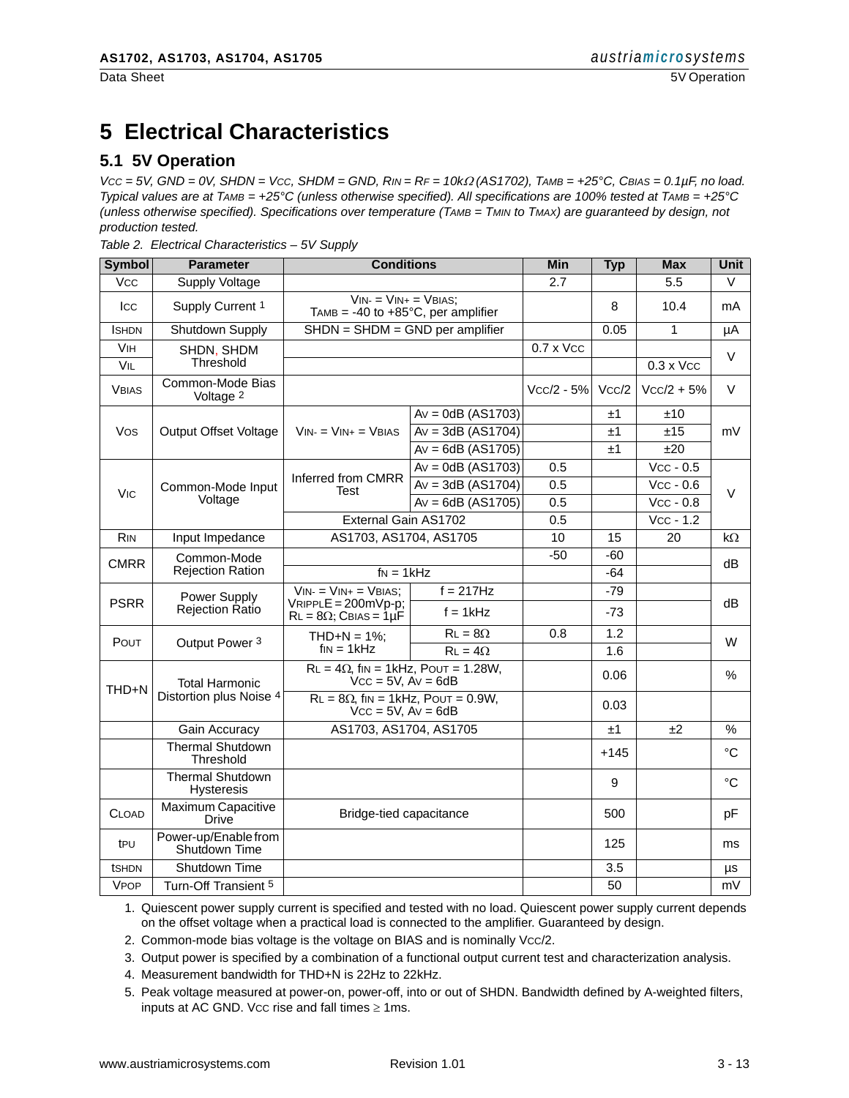## <span id="page-2-0"></span>**5 Electrical Characteristics**

### **5.1 5V Operation**

*VCC = 5V, GND = 0V, SHDN = VCC, SHDM = GND, RIN = RF = 10k*Ω *(AS1702), TAMB = +25°C, CBIAS = 0.1µF, no load. Typical values are at TAMB = +25°C (unless otherwise specified). All specifications are 100% tested at TAMB = +25°C (unless otherwise specified). Specifications over temperature (TAMB = TMIN to TMAX) are guaranteed by design, not production tested.*

*Table 2. Electrical Characteristics – 5V Supply*

| <b>Symbol</b>         | <b>Parameter</b>                             | <b>Conditions</b>                                                          |                     | <b>Min</b>       | <b>Typ</b> | <b>Max</b>       | <b>Unit</b> |
|-----------------------|----------------------------------------------|----------------------------------------------------------------------------|---------------------|------------------|------------|------------------|-------------|
| <b>V<sub>CC</sub></b> | Supply Voltage                               |                                                                            |                     | 2.7              |            | 5.5              | $\vee$      |
| Icc                   | Supply Current 1                             | $VIN = VIN + VBIAS$ :<br>TAMB = $-40$ to $+85^{\circ}$ C, per amplifier    |                     |                  | 8          | 10.4             | mA          |
| <b>ISHDN</b>          | Shutdown Supply                              | $SHDN = SHDM = GND$ per amplifier                                          |                     |                  | 0.05       | $\mathbf{1}$     | μA          |
| <b>V<sub>IH</sub></b> | SHDN, SHDM                                   |                                                                            |                     | $0.7 \times$ Vcc |            |                  | V           |
| VIL                   | Threshold                                    |                                                                            |                     |                  |            | $0.3 \times$ Vcc |             |
| <b>VBIAS</b>          | Common-Mode Bias<br>Voltage 2                |                                                                            |                     | $Vcc/2 - 5%$     | Vcc/2      | $Vcc/2 + 5%$     | $\vee$      |
|                       |                                              |                                                                            | $Av = 0dB (AS1703)$ |                  | ±1         | ±10              |             |
| Vos                   | <b>Output Offset Voltage</b>                 | $VIN = VIN + VBIAS$                                                        | $Av = 3dB (AS1704)$ |                  | ±1         | ±15              | mV          |
|                       |                                              |                                                                            | $Av = 6dB (AS1705)$ |                  | ±1         | ±20              |             |
|                       |                                              |                                                                            | $Av = 0dB (AS1703)$ | 0.5              |            | $Vcc - 0.5$      |             |
| <b>V<sub>IC</sub></b> | Common-Mode Input                            | Inferred from CMRR<br>Test                                                 | $Av = 3dB (AS1704)$ | 0.5              |            | $Vcc - 0.6$      | $\vee$      |
|                       | Voltage                                      |                                                                            | $Av = 6dB (AS1705)$ | 0.5              |            | $Vcc - 0.8$      |             |
|                       |                                              | External Gain AS1702                                                       |                     | 0.5              |            | $Vcc - 1.2$      |             |
| <b>RIN</b>            | Input Impedance                              | AS1703, AS1704, AS1705                                                     |                     | 10               | 15         | 20               | kΩ          |
| <b>CMRR</b>           | Common-Mode                                  |                                                                            |                     |                  | $-60$      |                  | dB          |
|                       | <b>Rejection Ration</b>                      | $f_N = 1kHz$                                                               |                     |                  | $-64$      |                  |             |
| Power Supply          | $VIN = VIN + = VBIAS$ ;                      | $f = 217Hz$                                                                |                     | $-79$            |            |                  |             |
| <b>PSRR</b>           | Rejection Ratio                              | $V$ RIPPL $E = 200$ m $V$ p-p;<br>$RL = 8\Omega$ ; CBIAS = 1µF             | $f = 1$ kHz         |                  | $-73$      |                  | dB          |
| POUT                  |                                              | $THD+N = 1\%$ :<br>Output Power 3                                          | $RL = 8\Omega$      | 0.8              | 1.2        |                  | W           |
|                       |                                              | $f_{IN} = 1kHz$<br>$RL = 4\Omega$                                          |                     |                  | 1.6        |                  |             |
| THD+N                 | <b>Total Harmonic</b>                        | $RL = 4\Omega$ , fin = 1kHz, POUT = 1.28W,<br>$Vcc = 5V$ , $Av = 6dB$      |                     |                  | 0.06       |                  | %           |
|                       | Distortion plus Noise 4                      | $RL = 8\Omega$ , fin = 1kHz, POUT = 0.9W,<br>$\dot{V}$ cc = 5V, $Av = 6dB$ |                     |                  | 0.03       |                  |             |
|                       | Gain Accuracy                                | AS1703, AS1704, AS1705                                                     |                     |                  | ±1         | ±2               | %           |
|                       | <b>Thermal Shutdown</b><br>Threshold         |                                                                            |                     |                  | $+145$     |                  | °C          |
|                       | <b>Thermal Shutdown</b><br><b>Hysteresis</b> |                                                                            |                     |                  | 9          |                  | °C          |
| <b>CLOAD</b>          | Maximum Capacitive<br>Drive                  | Bridge-tied capacitance                                                    |                     |                  | 500        |                  | рF          |
| t <sub>PU</sub>       | Power-up/Enable from<br>Shutdown Time        |                                                                            |                     |                  | 125        |                  | ms          |
| tshdn                 | Shutdown Time                                |                                                                            |                     |                  | 3.5        |                  | μs          |
| <b>VPOP</b>           | Turn-Off Transient 5                         |                                                                            |                     |                  | 50         |                  | mV          |

1. Quiescent power supply current is specified and tested with no load. Quiescent power supply current depends on the offset voltage when a practical load is connected to the amplifier. Guaranteed by design.

2. Common-mode bias voltage is the voltage on BIAS and is nominally Vcc/2.

3. Output power is specified by a combination of a functional output current test and characterization analysis.

4. Measurement bandwidth for THD+N is 22Hz to 22kHz.

5. Peak voltage measured at power-on, power-off, into or out of SHDN. Bandwidth defined by A-weighted filters, inputs at AC GND. Vcc rise and fall times  $\geq 1$ ms.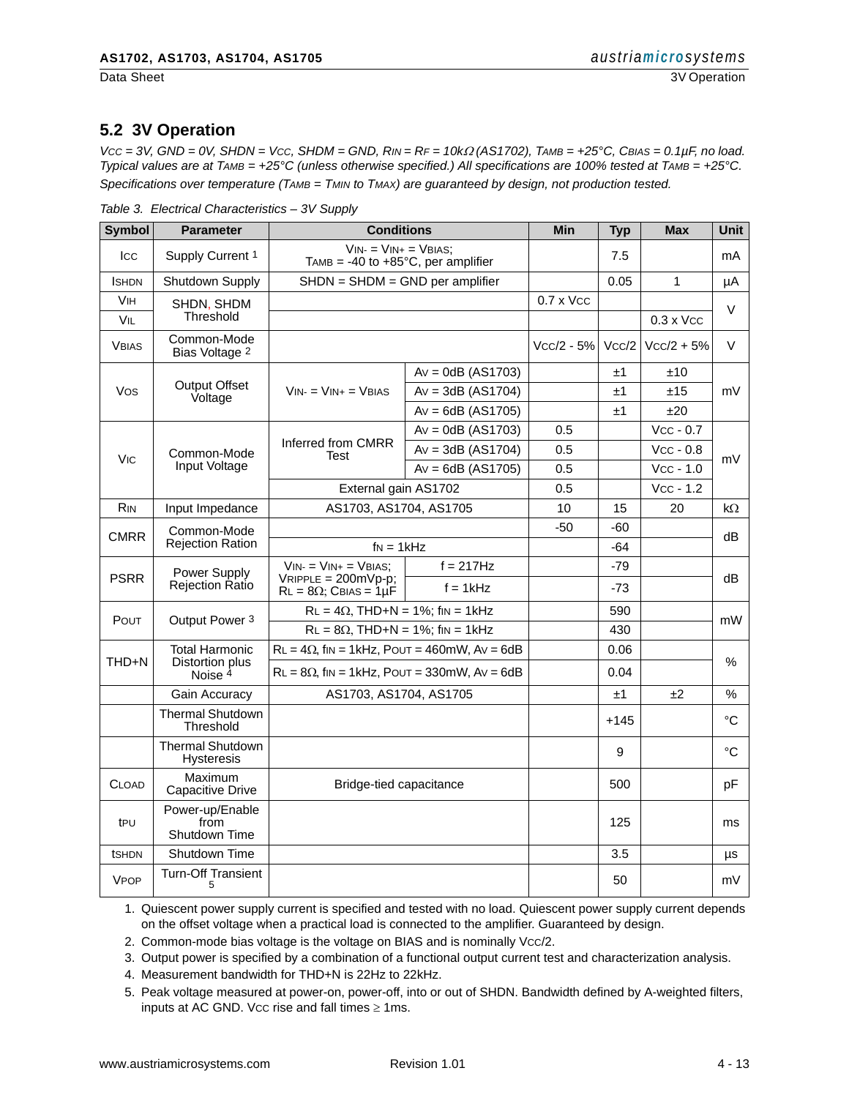#### **5.2 3V Operation**

*VCC = 3V, GND = 0V, SHDN = VCC, SHDM = GND, RIN = RF = 10k*Ω *(AS1702), TAMB = +25°C, CBIAS = 0.1µF, no load. Typical values are at TAMB = +25°C (unless otherwise specified.) All specifications are 100% tested at TAMB = +25°C. Specifications over temperature (TAMB = TMIN to TMAX) are guaranteed by design, not production tested.*

| Table 3. Electrical Characteristics - 3V Supply |  |
|-------------------------------------------------|--|
|-------------------------------------------------|--|

| <b>Symbol</b>                         | Parameter                                    | <b>Conditions</b>                                                      |                     | Min              | <b>Typ</b> | <b>Max</b>       | Unit |
|---------------------------------------|----------------------------------------------|------------------------------------------------------------------------|---------------------|------------------|------------|------------------|------|
| <b>ICC</b>                            | Supply Current 1                             | $VIN = VIN + VBIAS$ ;<br>TAMB = -40 to +85 $^{\circ}$ C, per amplifier |                     |                  | 7.5        |                  | mA   |
| <b>I</b> SHDN                         | Shutdown Supply                              | $SHDN = SHDM = GND$ per amplifier                                      |                     |                  | 0.05       | $\mathbf{1}$     | μA   |
| <b>VIH</b>                            | SHDN, SHDM                                   |                                                                        |                     | $0.7 \times$ Vcc |            |                  | V    |
| VIL                                   | Threshold                                    |                                                                        |                     |                  |            | $0.3 \times$ Vcc |      |
| <b>VBIAS</b>                          | Common-Mode<br>Bias Voltage 2                |                                                                        |                     | $Vcc/2 - 5%$     | Vcc/2      | $Vcc/2 + 5%$     | V    |
|                                       |                                              |                                                                        | $Av = 0dB (AS1703)$ |                  | ±1         | ±10              |      |
| Vos                                   | <b>Output Offset</b><br>Voltage              | $VIN = VIN + VBIAS$                                                    | $Av = 3dB (AS1704)$ |                  | ±1         | ±15              | mV   |
|                                       |                                              |                                                                        | $Av = 6dB (AS1705)$ |                  | ±1         | ±20              |      |
|                                       |                                              |                                                                        | $Av = 0dB (AS1703)$ | 0.5              |            | $Vcc - 0.7$      |      |
| <b>V<sub>IC</sub></b>                 | Common-Mode                                  | Inferred from CMRR<br>Test                                             | $Av = 3dB (AS1704)$ | 0.5              |            | $Vcc - 0.8$      | mV   |
|                                       | Input Voltage                                |                                                                        | $Av = 6dB (AS1705)$ | 0.5              |            | $Vcc - 1.0$      |      |
|                                       |                                              | External gain AS1702                                                   |                     | 0.5              |            | $Vcc - 1.2$      |      |
| <b>RIN</b>                            | Input Impedance                              | AS1703, AS1704, AS1705                                                 |                     | 10               | 15         | 20               | kΩ   |
|                                       | Common-Mode                                  |                                                                        |                     | $-50$            | $-60$      |                  |      |
| <b>CMRR</b>                           | <b>Rejection Ration</b>                      | $f_N = 1kHz$                                                           |                     |                  | $-64$      |                  | dB   |
|                                       | Power Supply                                 | $VIN = VIN + VBIAS$ :                                                  | $f = 217Hz$         |                  | -79        |                  | dB   |
| <b>PSRR</b><br><b>Rejection Ratio</b> |                                              | $VRIPPE = 200mVp-p$ ;<br>$RL = 8\Omega$ ; CBIAS = 1µF                  | $f = 1$ kHz         |                  | $-73$      |                  |      |
| Pout                                  | Output Power 3                               | $RL = 4\Omega$ , THD+N = 1%; fin = 1kHz                                |                     |                  | 590        |                  | mW   |
|                                       |                                              | $RL = 8\Omega$ , THD+N = 1%; fin = 1kHz                                |                     |                  | 430        |                  |      |
|                                       | <b>Total Harmonic</b>                        | $RL = 4\Omega$ , fin = 1kHz, POUT = 460mW, Av = 6dB                    |                     |                  | 0.06       |                  |      |
| THD+N                                 | Distortion plus<br>Noise <sup>4</sup>        | $RL = 8\Omega$ , fin = 1kHz, Pout = 330mW, Av = 6dB                    |                     |                  | 0.04       |                  | $\%$ |
|                                       | Gain Accuracy                                | AS1703, AS1704, AS1705                                                 |                     |                  | ±1         | ±2               | $\%$ |
|                                       | <b>Thermal Shutdown</b><br>Threshold         |                                                                        |                     |                  | $+145$     |                  | °C   |
|                                       | <b>Thermal Shutdown</b><br><b>Hysteresis</b> |                                                                        |                     |                  | 9          |                  | °C   |
| <b>CLOAD</b>                          | Maximum<br>Capacitive Drive                  | Bridge-tied capacitance                                                |                     |                  | 500        |                  | рF   |
| t <sub>PU</sub>                       | Power-up/Enable<br>from<br>Shutdown Time     |                                                                        |                     |                  | 125        |                  | ms   |
| tshon                                 | Shutdown Time                                |                                                                        |                     |                  | 3.5        |                  | μs   |
| <b>VPOP</b>                           | <b>Turn-Off Transient</b><br>5               |                                                                        |                     |                  | 50         |                  | mV   |

1. Quiescent power supply current is specified and tested with no load. Quiescent power supply current depends on the offset voltage when a practical load is connected to the amplifier. Guaranteed by design.

2. Common-mode bias voltage is the voltage on BIAS and is nominally Vcc/2.

3. Output power is specified by a combination of a functional output current test and characterization analysis.

4. Measurement bandwidth for THD+N is 22Hz to 22kHz.

5. Peak voltage measured at power-on, power-off, into or out of SHDN. Bandwidth defined by A-weighted filters, inputs at AC GND. Vcc rise and fall times  $\geq 1$ ms.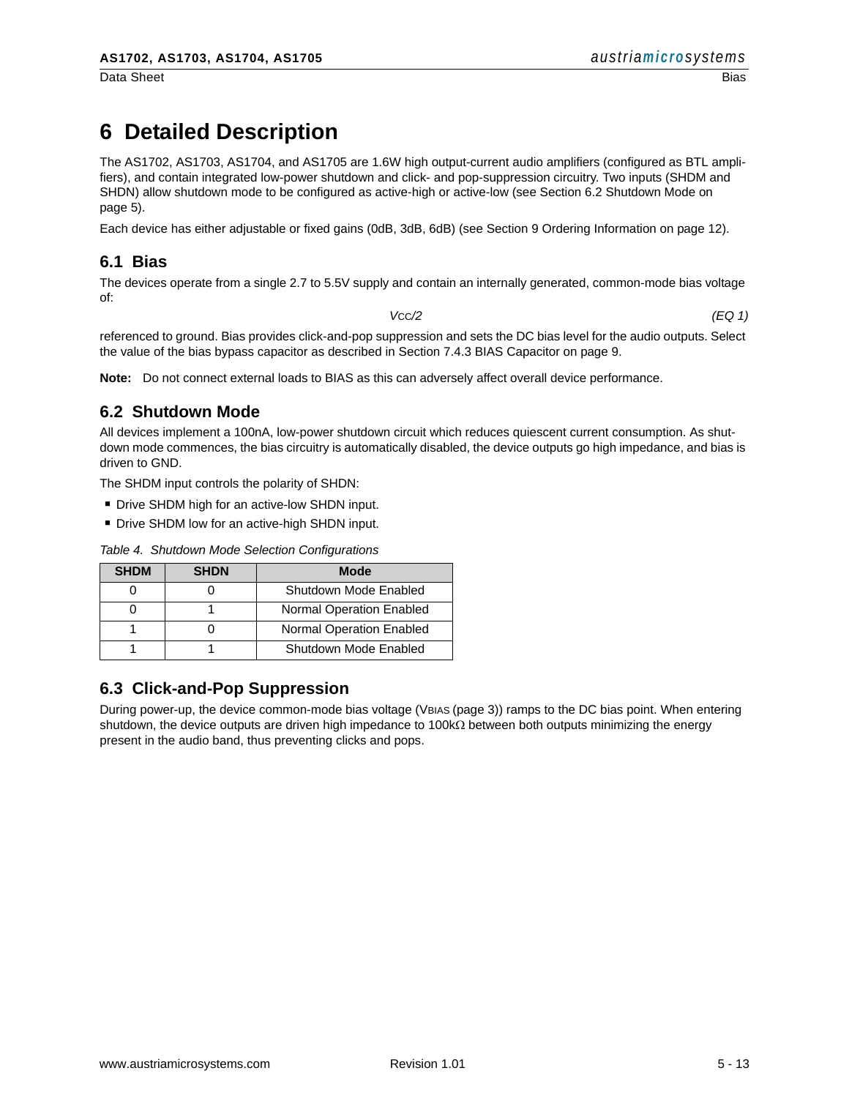Data Sheet Bias

## **6 Detailed Description**

The AS1702, AS1703, AS1704, and AS1705 are 1.6W high output-current audio amplifiers (configured as BTL amplifiers), and contain integrated low-power shutdown and click- and pop-suppression circuitry. Two inputs (SHDM and SHDN) allow shutdown mode to be configured as active-high or active-low (see Section 6.2 Shutdown Mode on [page 5](#page-4-0)).

Each device has either adjustable or fixed gains (0dB, 3dB, 6dB) (see [Section 9 Ordering Information on page 12\)](#page-11-0).

#### **6.1 Bias**

The devices operate from a single 2.7 to 5.5V supply and contain an internally generated, common-mode bias voltage of:

*V*CC*/2 (EQ 1)*

referenced to ground. Bias provides click-and-pop suppression and sets the DC bias level for the audio outputs. Select the value of the bias bypass capacitor as described in Section 7.4.3 BIAS Capacitor on page 9.

**Note:** Do not connect external loads to BIAS as this can adversely affect overall device performance.

#### <span id="page-4-0"></span>**6.2 Shutdown Mode**

All devices implement a 100nA, low-power shutdown circuit which reduces quiescent current consumption. As shutdown mode commences, the bias circuitry is automatically disabled, the device outputs go high impedance, and bias is driven to GND.

The SHDM input controls the polarity of SHDN:

- **Drive SHDM high for an active-low SHDN input.**
- **.** Drive SHDM low for an active-high SHDN input.

| <b>SHDM</b> | <b>SHDN</b> | <b>Mode</b>                     |
|-------------|-------------|---------------------------------|
|             |             | Shutdown Mode Enabled           |
|             |             | Normal Operation Enabled        |
|             |             | <b>Normal Operation Enabled</b> |
|             |             | Shutdown Mode Enabled           |

<span id="page-4-1"></span>*Table 4. Shutdown Mode Selection Configurations*

#### **6.3 Click-and-Pop Suppression**

During power-up, the device common-mode bias voltage (VBIAS (page 3)) ramps to the DC bias point. When entering shutdown, the device outputs are driven high impedance to 100kΩ between both outputs minimizing the energy present in the audio band, thus preventing clicks and pops.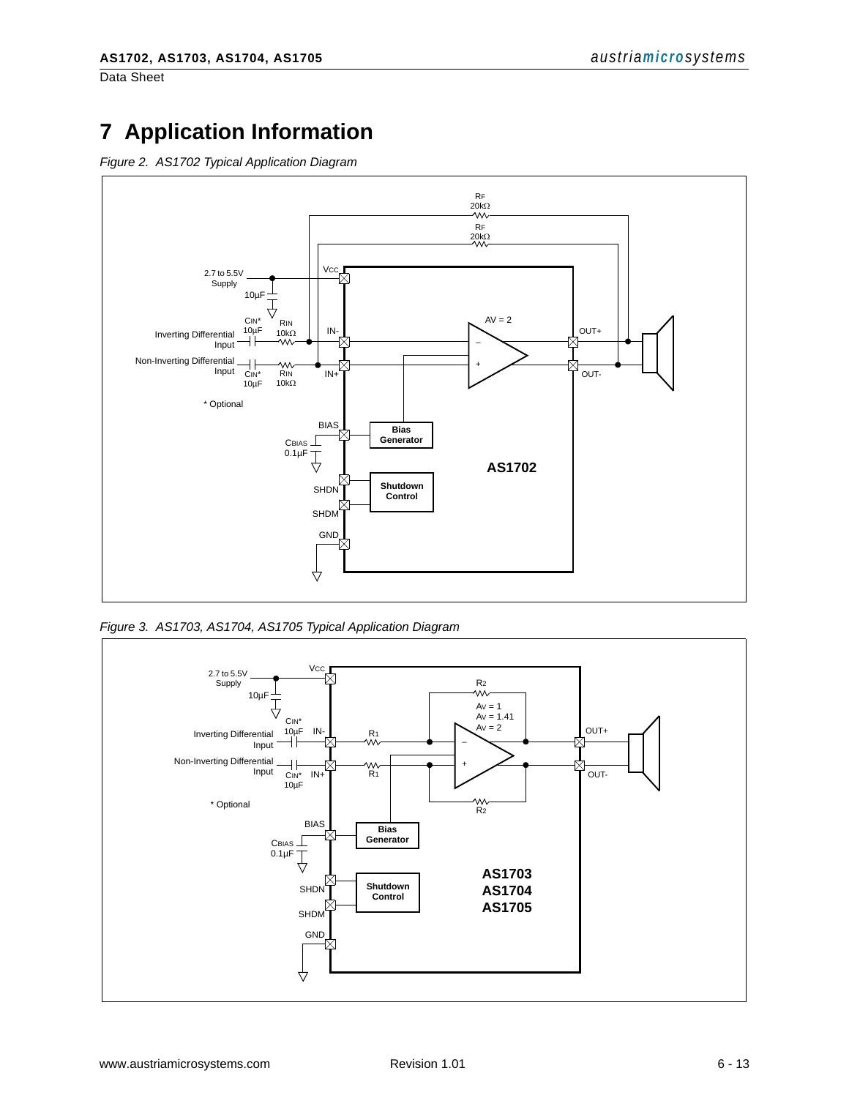Data Sheet

## **7 Application Information**

*Figure 2. AS1702 Typical Application Diagram*



<span id="page-5-0"></span>*Figure 3. AS1703, AS1704, AS1705 Typical Application Diagram*

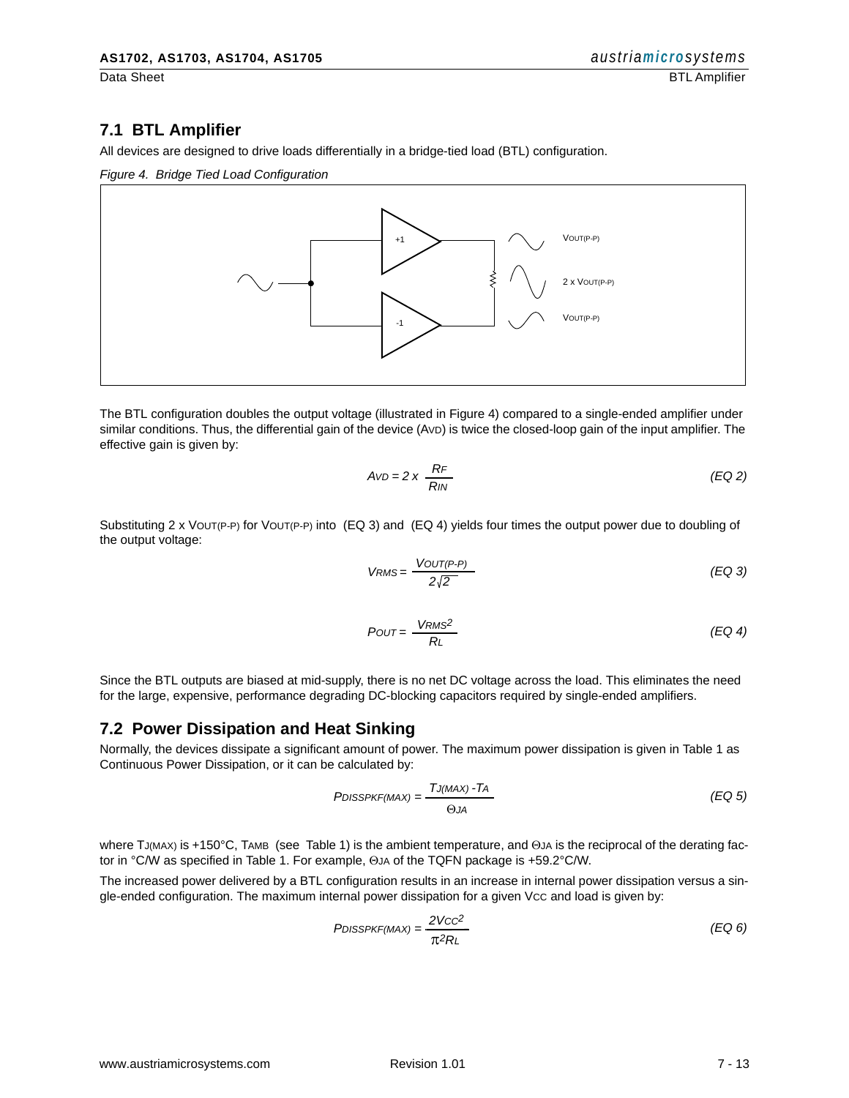#### **7.1 BTL Amplifier**

All devices are designed to drive loads differentially in a bridge-tied load (BTL) configuration.

<span id="page-6-2"></span>*Figure 4. Bridge Tied Load Configuration*



The BTL configuration doubles the output voltage (illustrated in [Figure 4](#page-6-2)) compared to a single-ended amplifier under similar conditions. Thus, the differential gain of the device (AVD) is twice the closed-loop gain of the input amplifier. The effective gain is given by:

$$
AvD = 2 \times \frac{RF}{RIN}
$$
 (EQ2)

Substituting 2 x VOUT(P-P) for VOUT(P-P) into [\(EQ 3\)](#page-6-1) and [\(EQ 4\)](#page-6-0) yields four times the output power due to doubling of the output voltage:

<span id="page-6-1"></span>
$$
V_{RMS} = \frac{V_{OUT(P-P)}}{2\sqrt{2}}\tag{EQ 3}
$$

<span id="page-6-0"></span>
$$
POUT = \frac{VRMS^2}{RL}
$$
 (EQ4)

Since the BTL outputs are biased at mid-supply, there is no net DC voltage across the load. This eliminates the need for the large, expensive, performance degrading DC-blocking capacitors required by single-ended amplifiers.

#### **7.2 Power Dissipation and Heat Sinking**

Normally, the devices dissipate a significant amount of power. The maximum power dissipation is given in Table 1 as Continuous Power Dissipation, or it can be calculated by:

$$
PDISSPKF(MAX) = \frac{TJ(MAX) - TA}{\Theta JA}
$$
 (EQ 5)

where TJ(MAX) is +150°C, TAMB (see Table 1) is the ambient temperature, and ΘJA is the reciprocal of the derating factor in °C/W as specified in Table 1. For example, ΘJA of the TQFN package is +59.2°C/W.

The increased power delivered by a BTL configuration results in an increase in internal power dissipation versus a single-ended configuration. The maximum internal power dissipation for a given Vcc and load is given by:

$$
PDISSPKF(MAX) = \frac{2VCC^2}{\pi^2 R} \tag{EQ 6}
$$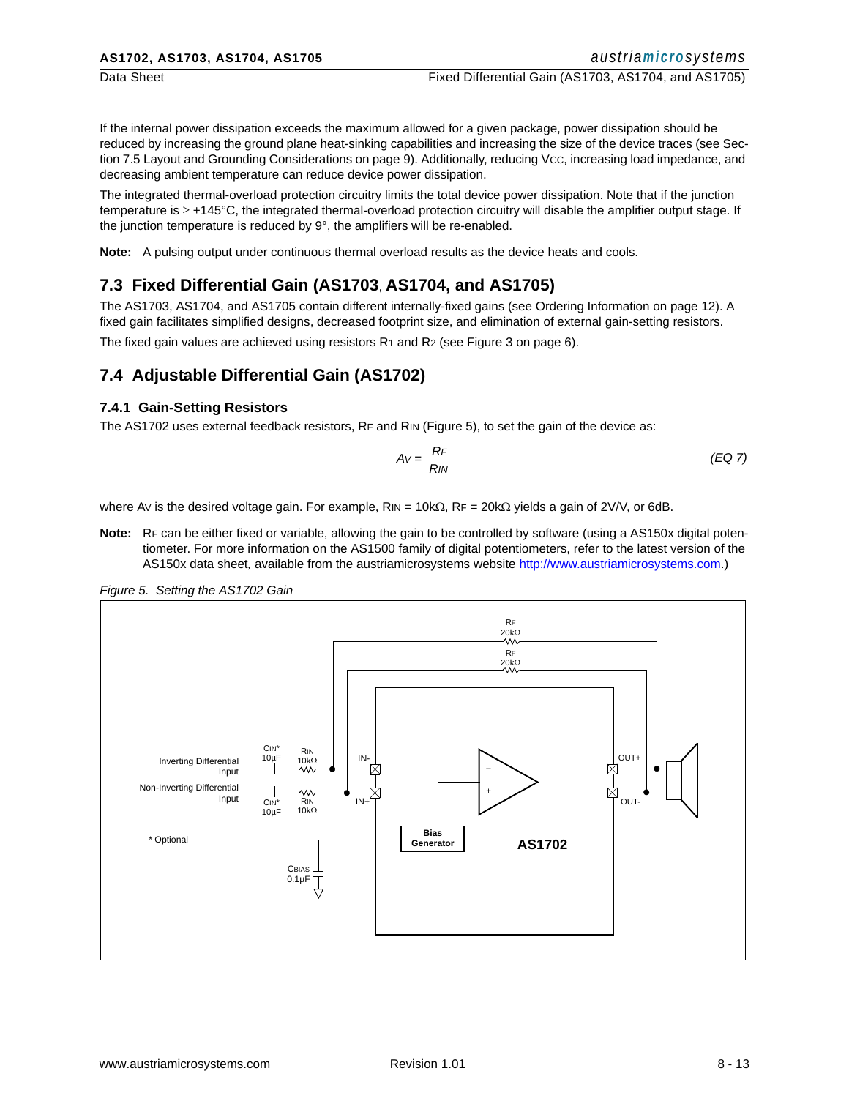If the internal power dissipation exceeds the maximum allowed for a given package, power dissipation should be reduced by increasing the ground plane heat-sinking capabilities and increasing the size of the device traces (see [Sec](#page-8-0)[tion 7.5 Layout and Grounding Considerations on page 9](#page-8-0)). Additionally, reducing Vcc, increasing load impedance, and decreasing ambient temperature can reduce device power dissipation.

The integrated thermal-overload protection circuitry limits the total device power dissipation. Note that if the junction temperature is ≥ +145°C, the integrated thermal-overload protection circuitry will disable the amplifier output stage. If the junction temperature is reduced by 9°, the amplifiers will be re-enabled.

**Note:** A pulsing output under continuous thermal overload results as the device heats and cools.

#### **7.3 Fixed Differential Gain (AS1703**, **AS1704, and AS1705)**

The AS1703, AS1704, and AS1705 contain different internally-fixed gains [\(see Ordering Information on page 12\)](#page-11-0). A fixed gain facilitates simplified designs, decreased footprint size, and elimination of external gain-setting resistors.

The fixed gain values are achieved using resistors R<sub>1</sub> and R<sub>2</sub> [\(see Figure 3 on page 6\)](#page-5-0).

#### **7.4 Adjustable Differential Gain (AS1702)**

#### **7.4.1 Gain-Setting Resistors**

The AS1702 uses external feedback resistors, RF and RIN (Figure 5), to set the gain of the device as:

$$
Av = \frac{RF}{RIN}
$$
 (EQ 7)

where Av is the desired voltage gain. For example,  $R_{\text{IN}} = 10 \text{k}\Omega$ ,  $R_F = 20 \text{k}\Omega$  yields a gain of 2V/V, or 6dB.

**Note:** RF can be either fixed or variable, allowing the gain to be controlled by software (using a AS150x digital potentiometer. For more information on the AS1500 family of digital potentiometers, refer to the latest version of the AS150x data sheet*,* available from the austriamicrosystems website [http://www.austriamicrosystems.com.](http://www.austriamicrosystems.com))



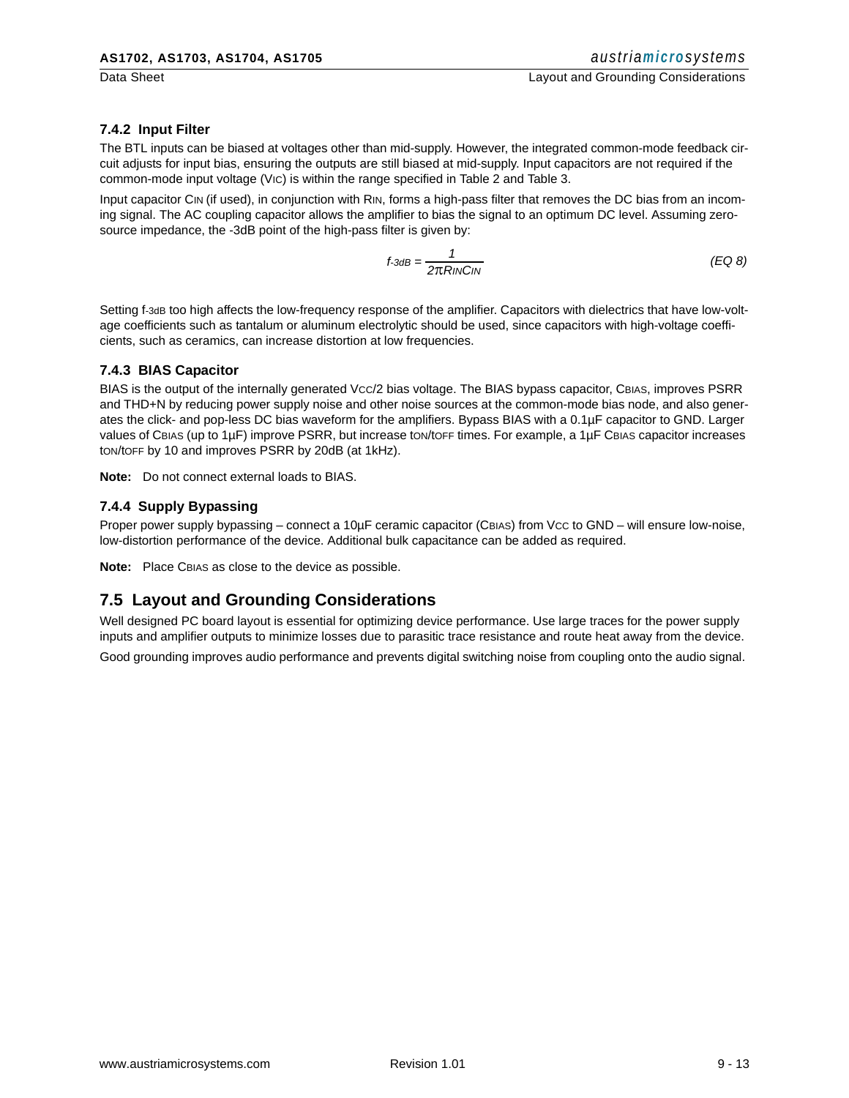#### **7.4.2 Input Filter**

The BTL inputs can be biased at voltages other than mid-supply. However, the integrated common-mode feedback circuit adjusts for input bias, ensuring the outputs are still biased at mid-supply. Input capacitors are not required if the common-mode input voltage (VIC) is within the range specified in Table 2 and Table 3.

Input capacitor CIN (if used), in conjunction with RIN, forms a high-pass filter that removes the DC bias from an incoming signal. The AC coupling capacitor allows the amplifier to bias the signal to an optimum DC level. Assuming zerosource impedance, the -3dB point of the high-pass filter is given by:

$$
f - 3dB = \frac{1}{2\pi RINCN}
$$
 (EQ8)

Setting f-3dB too high affects the low-frequency response of the amplifier. Capacitors with dielectrics that have low-voltage coefficients such as tantalum or aluminum electrolytic should be used, since capacitors with high-voltage coefficients, such as ceramics, can increase distortion at low frequencies.

#### **7.4.3 BIAS Capacitor**

BIAS is the output of the internally generated Vcc/2 bias voltage. The BIAS bypass capacitor, CBIAS, improves PSRR and THD+N by reducing power supply noise and other noise sources at the common-mode bias node, and also generates the click- and pop-less DC bias waveform for the amplifiers. Bypass BIAS with a 0.1µF capacitor to GND. Larger values of CBIAS (up to 1µF) improve PSRR, but increase ton/toFF times. For example, a 1µF CBIAS capacitor increases tON/tOFF by 10 and improves PSRR by 20dB (at 1kHz).

**Note:** Do not connect external loads to BIAS.

#### **7.4.4 Supply Bypassing**

Proper power supply bypassing – connect a 10µF ceramic capacitor (CBIAS) from Vcc to GND – will ensure low-noise, low-distortion performance of the device. Additional bulk capacitance can be added as required.

**Note:** Place CBIAS as close to the device as possible.

#### <span id="page-8-0"></span>**7.5 Layout and Grounding Considerations**

Well designed PC board layout is essential for optimizing device performance. Use large traces for the power supply inputs and amplifier outputs to minimize losses due to parasitic trace resistance and route heat away from the device.

Good grounding improves audio performance and prevents digital switching noise from coupling onto the audio signal.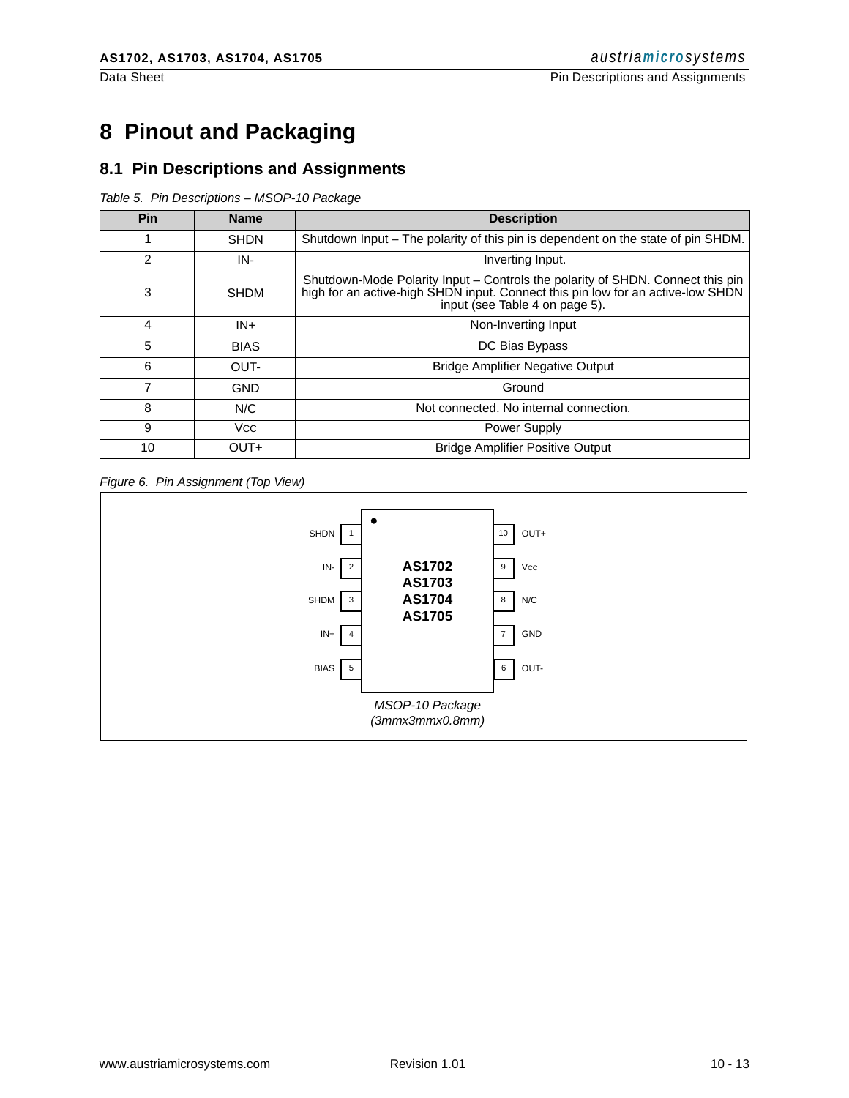## **8 Pinout and Packaging**

#### **8.1 Pin Descriptions and Assignments**

*Table 5. Pin Descriptions – MSOP-10 Package*

| Pin           | <b>Name</b> | <b>Description</b>                                                                                                                                                                                  |  |
|---------------|-------------|-----------------------------------------------------------------------------------------------------------------------------------------------------------------------------------------------------|--|
| 1             | <b>SHDN</b> | Shutdown Input – The polarity of this pin is dependent on the state of pin SHDM.                                                                                                                    |  |
| $\mathcal{P}$ | IN-         | Inverting Input.                                                                                                                                                                                    |  |
| 3             | <b>SHDM</b> | Shutdown-Mode Polarity Input - Controls the polarity of SHDN. Connect this pin<br>high for an active-high SHDN input. Connect this pin low for an active-low SHDN<br>input (see Table 4 on page 5). |  |
| 4             | IN+         | Non-Inverting Input                                                                                                                                                                                 |  |
| 5             | <b>BIAS</b> | DC Bias Bypass                                                                                                                                                                                      |  |
| 6             | OUT-        | <b>Bridge Amplifier Negative Output</b>                                                                                                                                                             |  |
| 7             | <b>GND</b>  | Ground                                                                                                                                                                                              |  |
| 8             | N/C         | Not connected. No internal connection.                                                                                                                                                              |  |
| 9             | Vcc         | <b>Power Supply</b>                                                                                                                                                                                 |  |
| 10            | OUT+        | <b>Bridge Amplifier Positive Output</b>                                                                                                                                                             |  |

*Figure 6. Pin Assignment (Top View)*

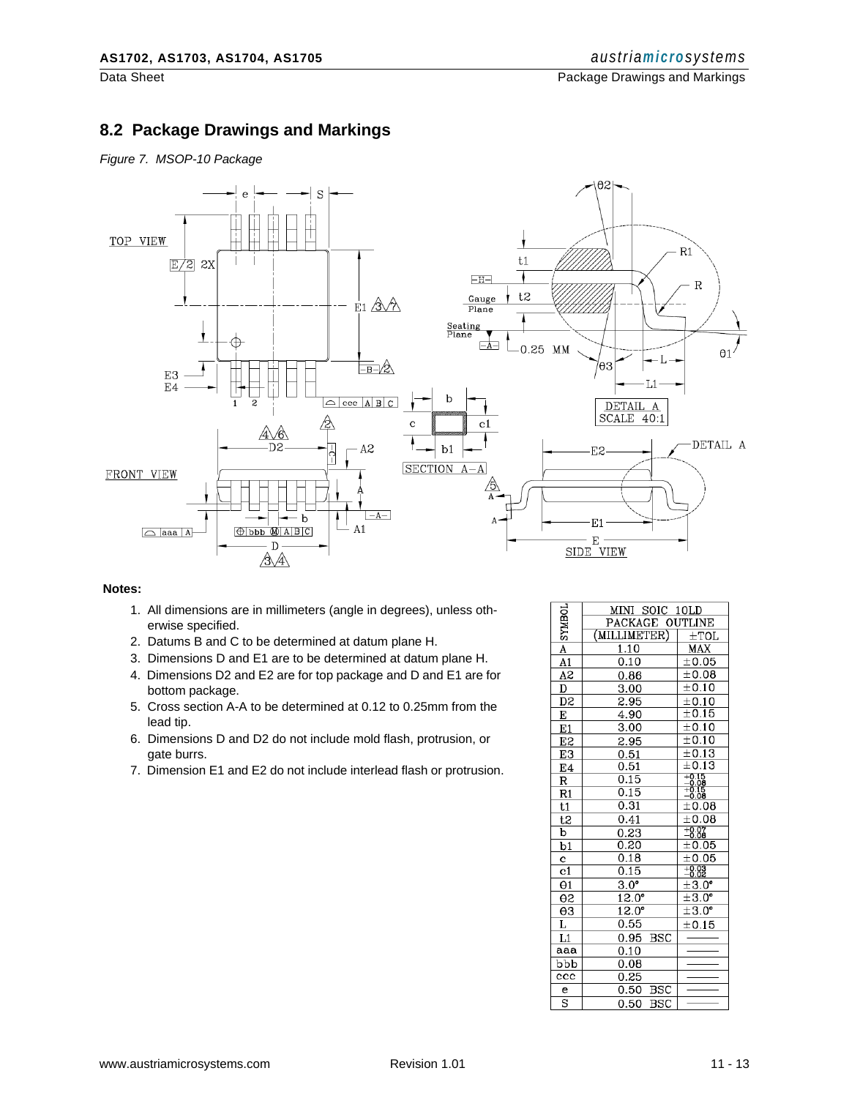Data Sheet **Package Drawings and Markings Package Drawings and Markings** 

#### **8.2 Package Drawings and Markings**

*Figure 7. MSOP-10 Package*



#### **Notes:**

- 1. All dimensions are in millimeters (angle in degrees), unless otherwise specified.
- 2. Datums B and C to be determined at datum plane H.
- 3. Dimensions D and E1 are to be determined at datum plane H.
- 4. Dimensions D2 and E2 are for top package and D and E1 are for bottom package.
- 5. Cross section A-A to be determined at 0.12 to 0.25mm from the lead tip.
- 6. Dimensions D and D2 do not include mold flash, protrusion, or gate burrs.
- 7. Dimension E1 and E2 do not include interlead flash or protrusion.

| <b>TOHNAS</b>           | MINI SOIC 10LD      |                       |
|-------------------------|---------------------|-----------------------|
|                         | PACKAGE OUTLINE     |                       |
|                         | (MILLIMETER)        | $\pm$ TOL             |
| $\overline{\mathbf{A}}$ | <u>1.10</u>         | MAX                   |
| A1                      | 0.10                | $\pm 0.05$            |
| $\overline{A2}$         | 0.86                | $\pm 0.08$            |
| $\overline{\mathtt{D}}$ | 3.00                | $\pm$ 0.10            |
| D2                      | 2.95                | ±0.10                 |
| Е                       | 4.90                | $\pm 0.15$            |
| E1                      | 3.00                | ±0.10                 |
| E2                      | 2.95                | ±0.10                 |
| E3                      | $\frac{0.51}{0.51}$ | $\pm 0.13$            |
| E4                      |                     | $\pm 0.13$            |
| R                       | 0.15                | $^{+0.15}_{-0.08}$    |
| R1                      | 0.15                | $\frac{-8.75}{-0.08}$ |
| t1                      | 0.31                | $\pm 0.08$            |
| t2                      | 0.41                | ±0.08                 |
| $\overline{\mathbf{b}}$ | 0.23                | $+0.07$               |
| $\overline{b1}$         | 0.20                | $\pm 0.05$            |
| c                       | 0.18                | $\pm 0.05$            |
| c1                      | 0.15                | $-0.03$               |
| $\Theta$ 1              | $3.0^\circ$         | ±3.0 <sup>°</sup>     |
| θ2                      | $12.0^{\circ}$      | $\pm 3.0^{\circ}$     |
| $\Theta$ 3              | $12.0^{\circ}$      | $\pm 3.0^{\circ}$     |
| Г                       | 0.55                | ±0.15                 |
| L1                      | 0.95<br><b>BSC</b>  |                       |
| aaa                     | 0.10                |                       |
| bbb                     | 0.08                |                       |
| $_{\rm ccc}$            | 0.25                |                       |
| e                       | <b>BSC</b><br>0.50  |                       |
| S                       | 0.50<br><b>BSC</b>  |                       |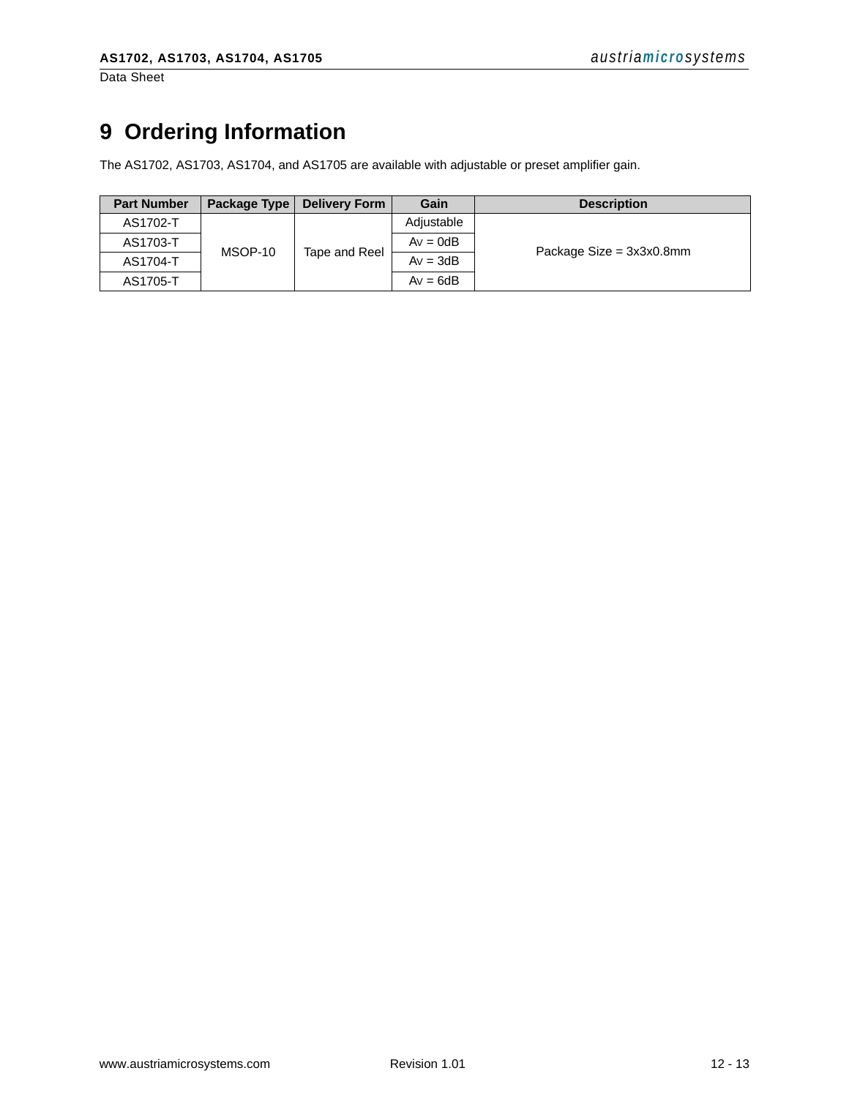Data Sheet

## <span id="page-11-0"></span>**9 Ordering Information**

The AS1702, AS1703, AS1704, and AS1705 are available with adjustable or preset amplifier gain.

| <b>Part Number</b> | Package Type | <b>Delivery Form</b> | Gain       | <b>Description</b>         |
|--------------------|--------------|----------------------|------------|----------------------------|
| AS1702-T           |              | Tape and Reel        | Adjustable |                            |
| AS1703-T           | MSOP-10      |                      | $Av = 0dB$ | Package $Size = 3x3x0.8mm$ |
| AS1704-T           |              |                      | $Av = 3dB$ |                            |
| AS1705-T           |              |                      | $Av = 6dB$ |                            |